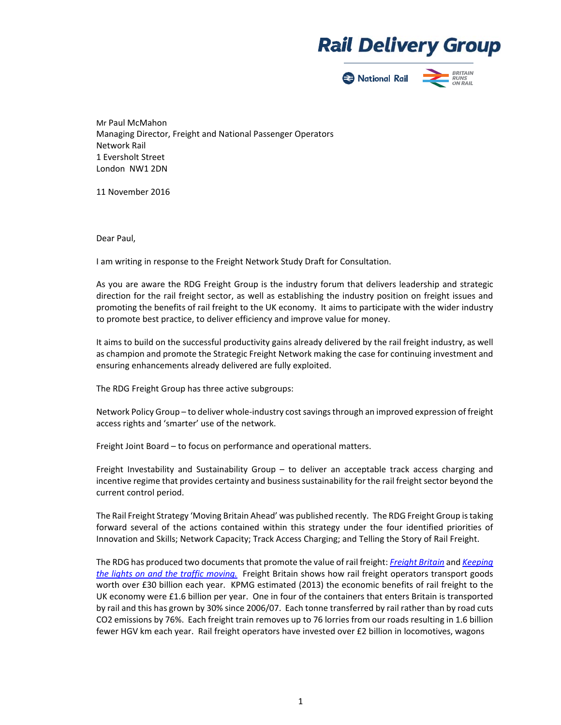## **Rail Delivery Group**



Mr Paul McMahon Managing Director, Freight and National Passenger Operators Network Rail 1 Eversholt Street London NW1 2DN

11 November 2016

Dear Paul,

I am writing in response to the Freight Network Study Draft for Consultation.

As you are aware the RDG Freight Group is the industry forum that delivers leadership and strategic direction for the rail freight sector, as well as establishing the industry position on freight issues and promoting the benefits of rail freight to the UK economy. It aims to participate with the wider industry to promote best practice, to deliver efficiency and improve value for money.

It aims to build on the successful productivity gains already delivered by the rail freight industry, as well as champion and promote the Strategic Freight Network making the case for continuing investment and ensuring enhancements already delivered are fully exploited.

The RDG Freight Group has three active subgroups:

Network Policy Group – to deliver whole-industry cost savings through an improved expression of freight access rights and 'smarter' use of the network.

Freight Joint Board – to focus on performance and operational matters.

Freight Investability and Sustainability Group  $-$  to deliver an acceptable track access charging and incentive regime that provides certainty and business sustainability for the rail freight sector beyond the current control period.

The Rail Freight Strategy 'Moving Britain Ahead' was published recently. The RDG Freight Group is taking forward several of the actions contained within this strategy under the four identified priorities of Innovation and Skills; Network Capacity; Track Access Charging; and Telling the Story of Rail Freight.

The RDG has produced two documents that promote the value of rail freight: *Freight Britain* and *Keeping the lights on and the traffic moving.* Freight Britain shows how rail freight operators transport goods worth over £30 billion each year. KPMG estimated (2013) the economic benefits of rail freight to the UK economy were £1.6 billion per year. One in four of the containers that enters Britain is transported by rail and this has grown by 30% since 2006/07. Each tonne transferred by rail rather than by road cuts CO2 emissions by 76%. Each freight train removes up to 76 lorries from our roads resulting in 1.6 billion fewer HGV km each year. Rail freight operators have invested over £2 billion in locomotives, wagons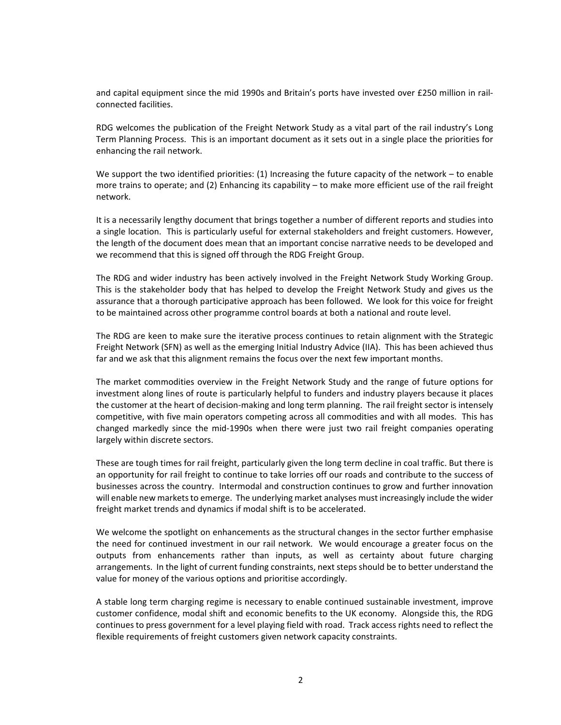and capital equipment since the mid 1990s and Britain's ports have invested over £250 million in rail‐ connected facilities.

RDG welcomes the publication of the Freight Network Study as a vital part of the rail industry's Long Term Planning Process. This is an important document as it sets out in a single place the priorities for enhancing the rail network.

We support the two identified priorities:  $(1)$  Increasing the future capacity of the network – to enable more trains to operate; and (2) Enhancing its capability – to make more efficient use of the rail freight network.

It is a necessarily lengthy document that brings together a number of different reports and studies into a single location. This is particularly useful for external stakeholders and freight customers. However, the length of the document does mean that an important concise narrative needs to be developed and we recommend that this is signed off through the RDG Freight Group.

The RDG and wider industry has been actively involved in the Freight Network Study Working Group. This is the stakeholder body that has helped to develop the Freight Network Study and gives us the assurance that a thorough participative approach has been followed. We look for this voice for freight to be maintained across other programme control boards at both a national and route level.

The RDG are keen to make sure the iterative process continues to retain alignment with the Strategic Freight Network (SFN) as well as the emerging Initial Industry Advice (IIA). This has been achieved thus far and we ask that this alignment remains the focus over the next few important months.

The market commodities overview in the Freight Network Study and the range of future options for investment along lines of route is particularly helpful to funders and industry players because it places the customer at the heart of decision‐making and long term planning. The rail freight sector is intensely competitive, with five main operators competing across all commodities and with all modes. This has changed markedly since the mid-1990s when there were just two rail freight companies operating largely within discrete sectors.

These are tough times for rail freight, particularly given the long term decline in coal traffic. But there is an opportunity for rail freight to continue to take lorries off our roads and contribute to the success of businesses across the country. Intermodal and construction continues to grow and further innovation will enable new markets to emerge. The underlying market analyses must increasingly include the wider freight market trends and dynamics if modal shift is to be accelerated.

We welcome the spotlight on enhancements as the structural changes in the sector further emphasise the need for continued investment in our rail network. We would encourage a greater focus on the outputs from enhancements rather than inputs, as well as certainty about future charging arrangements. In the light of current funding constraints, next steps should be to better understand the value for money of the various options and prioritise accordingly.

A stable long term charging regime is necessary to enable continued sustainable investment, improve customer confidence, modal shift and economic benefits to the UK economy. Alongside this, the RDG continues to press government for a level playing field with road. Track access rights need to reflect the flexible requirements of freight customers given network capacity constraints.